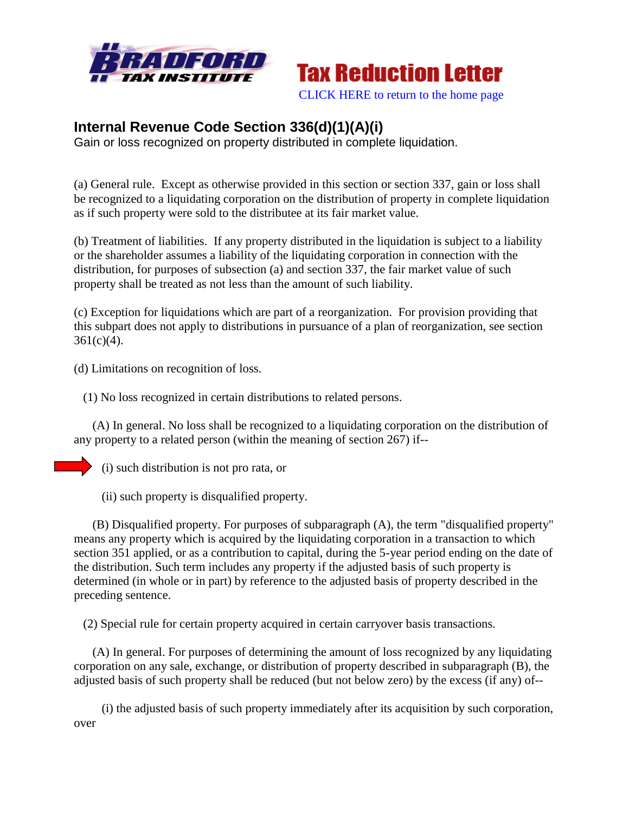



[CLICK HERE to return to the home page](http://bradfordtaxinstitute.com/index1.aspx)

## **Internal Revenue Code Section 336(d)(1)(A)(i)**

Gain or loss recognized on property distributed in complete liquidation.

(a) General rule. Except as otherwise provided in this section or section 337, gain or loss shall be recognized to a liquidating corporation on the distribution of property in complete liquidation as if such property were sold to the distributee at its fair market value.

(b) Treatment of liabilities. If any property distributed in the liquidation is subject to a liability or the shareholder assumes a liability of the liquidating corporation in connection with the distribution, for purposes of subsection (a) and section 337, the fair market value of such property shall be treated as not less than the amount of such liability.

(c) Exception for liquidations which are part of a reorganization. For provision providing that this subpart does not apply to distributions in pursuance of a plan of reorganization, see section  $361(c)(4)$ .

(d) Limitations on recognition of loss.

(1) No loss recognized in certain distributions to related persons.

 (A) In general. No loss shall be recognized to a liquidating corporation on the distribution of any property to a related person (within the meaning of section 267) if--

(i) such distribution is not pro rata, or

(ii) such property is disqualified property.

 (B) Disqualified property. For purposes of subparagraph (A), the term "disqualified property" means any property which is acquired by the liquidating corporation in a transaction to which section 351 applied, or as a contribution to capital, during the 5-year period ending on the date of the distribution. Such term includes any property if the adjusted basis of such property is determined (in whole or in part) by reference to the adjusted basis of property described in the preceding sentence.

(2) Special rule for certain property acquired in certain carryover basis transactions.

 (A) In general. For purposes of determining the amount of loss recognized by any liquidating corporation on any sale, exchange, or distribution of property described in subparagraph (B), the adjusted basis of such property shall be reduced (but not below zero) by the excess (if any) of--

 (i) the adjusted basis of such property immediately after its acquisition by such corporation, over